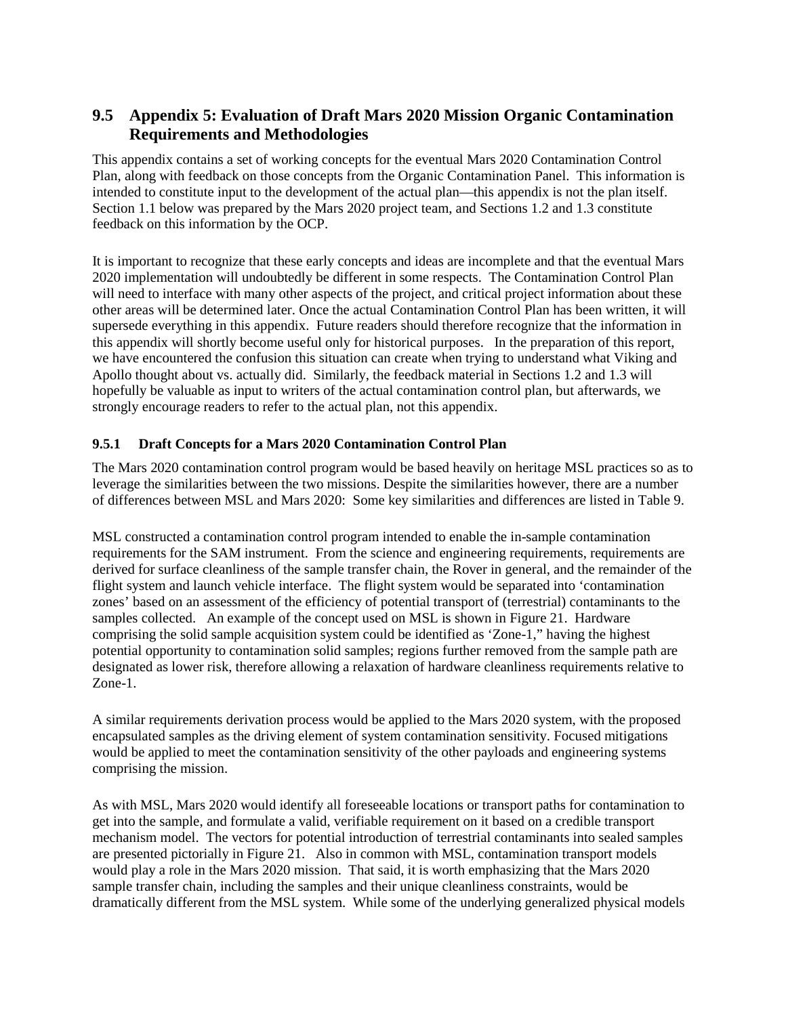# **9.5 Appendix 5: Evaluation of Draft Mars 2020 Mission Organic Contamination Requirements and Methodologies**

This appendix contains a set of working concepts for the eventual Mars 2020 Contamination Control Plan, along with feedback on those concepts from the Organic Contamination Panel. This information is intended to constitute input to the development of the actual plan—this appendix is not the plan itself. Section 1.1 below was prepared by the Mars 2020 project team, and Sections 1.2 and 1.3 constitute feedback on this information by the OCP.

It is important to recognize that these early concepts and ideas are incomplete and that the eventual Mars 2020 implementation will undoubtedly be different in some respects. The Contamination Control Plan will need to interface with many other aspects of the project, and critical project information about these other areas will be determined later. Once the actual Contamination Control Plan has been written, it will supersede everything in this appendix. Future readers should therefore recognize that the information in this appendix will shortly become useful only for historical purposes. In the preparation of this report, we have encountered the confusion this situation can create when trying to understand what Viking and Apollo thought about vs. actually did. Similarly, the feedback material in Sections 1.2 and 1.3 will hopefully be valuable as input to writers of the actual contamination control plan, but afterwards, we strongly encourage readers to refer to the actual plan, not this appendix.

## **9.5.1 Draft Concepts for a Mars 2020 Contamination Control Plan**

The Mars 2020 contamination control program would be based heavily on heritage MSL practices so as to leverage the similarities between the two missions. Despite the similarities however, there are a number of differences between MSL and Mars 2020: Some key similarities and differences are listed in Table 9.

MSL constructed a contamination control program intended to enable the in-sample contamination requirements for the SAM instrument. From the science and engineering requirements, requirements are derived for surface cleanliness of the sample transfer chain, the Rover in general, and the remainder of the flight system and launch vehicle interface. The flight system would be separated into 'contamination zones' based on an assessment of the efficiency of potential transport of (terrestrial) contaminants to the samples collected. An example of the concept used on MSL is shown in Figure 21. Hardware comprising the solid sample acquisition system could be identified as 'Zone-1," having the highest potential opportunity to contamination solid samples; regions further removed from the sample path are designated as lower risk, therefore allowing a relaxation of hardware cleanliness requirements relative to Zone-1.

A similar requirements derivation process would be applied to the Mars 2020 system, with the proposed encapsulated samples as the driving element of system contamination sensitivity. Focused mitigations would be applied to meet the contamination sensitivity of the other payloads and engineering systems comprising the mission.

As with MSL, Mars 2020 would identify all foreseeable locations or transport paths for contamination to get into the sample, and formulate a valid, verifiable requirement on it based on a credible transport mechanism model. The vectors for potential introduction of terrestrial contaminants into sealed samples are presented pictorially in Figure 21. Also in common with MSL, contamination transport models would play a role in the Mars 2020 mission. That said, it is worth emphasizing that the Mars 2020 sample transfer chain, including the samples and their unique cleanliness constraints, would be dramatically different from the MSL system. While some of the underlying generalized physical models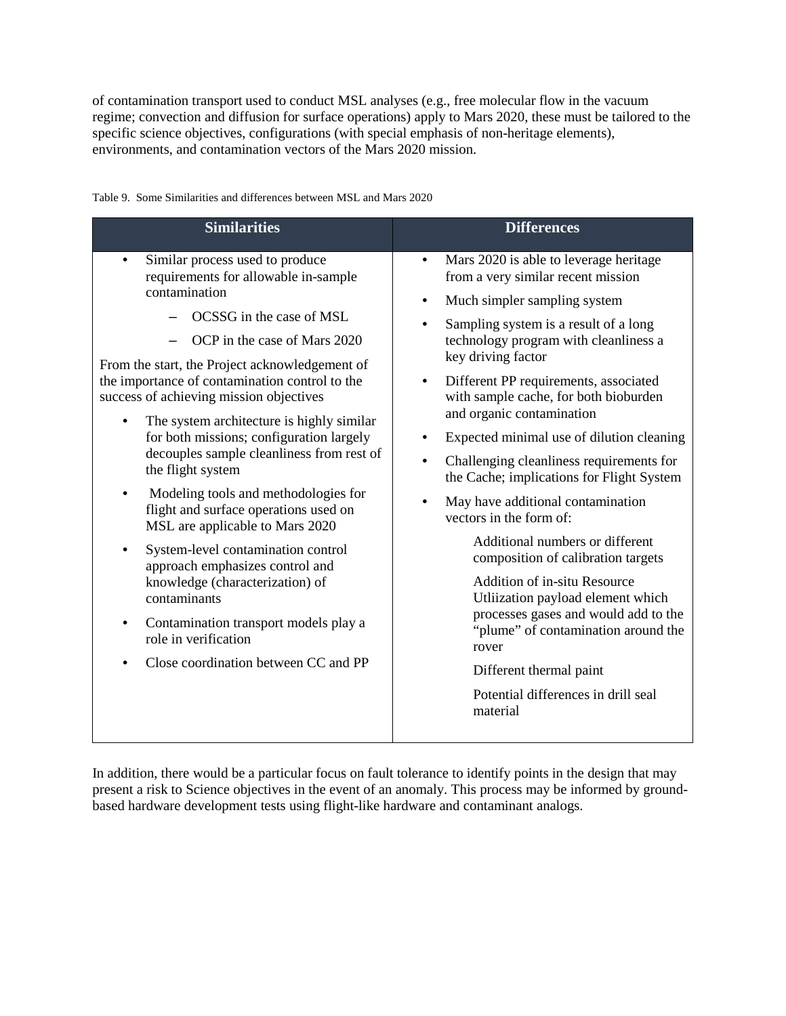of contamination transport used to conduct MSL analyses (e.g., free molecular flow in the vacuum regime; convection and diffusion for surface operations) apply to Mars 2020, these must be tailored to the specific science objectives, configurations (with special emphasis of non-heritage elements), environments, and contamination vectors of the Mars 2020 mission.

**Similarities Differences** • Similar process used to produce requirements for allowable in-sample contamination – OCSSG in the case of MSL – OCP in the case of Mars 2020 From the start, the Project acknowledgement of the importance of contamination control to the success of achieving mission objectives The system architecture is highly similar for both missions; configuration largely decouples sample cleanliness from rest of the flight system • Modeling tools and methodologies for flight and surface operations used on MSL are applicable to Mars 2020 System-level contamination control approach emphasizes control and knowledge (characterization) of contaminants • Contamination transport models play a role in verification • Close coordination between CC and PP • Mars 2020 is able to leverage heritage from a very similar recent mission • Much simpler sampling system • Sampling system is a result of a long technology program with cleanliness a key driving factor • Different PP requirements, associated with sample cache, for both bioburden and organic contamination • Expected minimal use of dilution cleaning • Challenging cleanliness requirements for the Cache; implications for Flight System • May have additional contamination vectors in the form of: Additional numbers or different composition of calibration targets Addition of in-situ Resource Utliization payload element which processes gases and would add to the "plume" of contamination around the rover Different thermal paint Potential differences in drill seal material

Table 9. Some Similarities and differences between MSL and Mars 2020

In addition, there would be a particular focus on fault tolerance to identify points in the design that may present a risk to Science objectives in the event of an anomaly. This process may be informed by groundbased hardware development tests using flight-like hardware and contaminant analogs.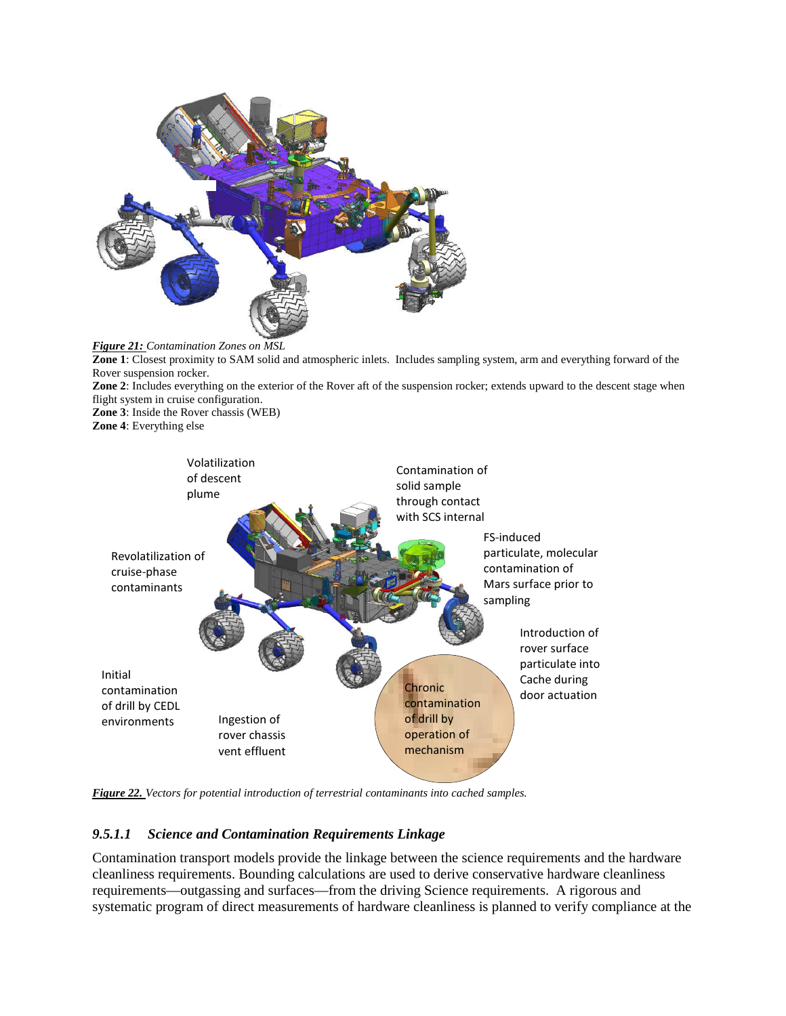

*Figure 21: Contamination Zones on MSL*  **Zone 1**: Closest proximity to SAM solid and atmospheric inlets. Includes sampling system, arm and everything forward of the Rover suspension rocker. **Zone 2**: Includes everything on the exterior of the Rover aft of the suspension rocker; extends upward to the descent stage when flight system in cruise configuration. **Zone 3**: Inside the Rover chassis (WEB) **Zone 4**: Everything else



*Figure 22. Vectors for potential introduction of terrestrial contaminants into cached samples.* 

## *9.5.1.1 Science and Contamination Requirements Linkage*

Contamination transport models provide the linkage between the science requirements and the hardware cleanliness requirements. Bounding calculations are used to derive conservative hardware cleanliness requirements—outgassing and surfaces—from the driving Science requirements. A rigorous and systematic program of direct measurements of hardware cleanliness is planned to verify compliance at the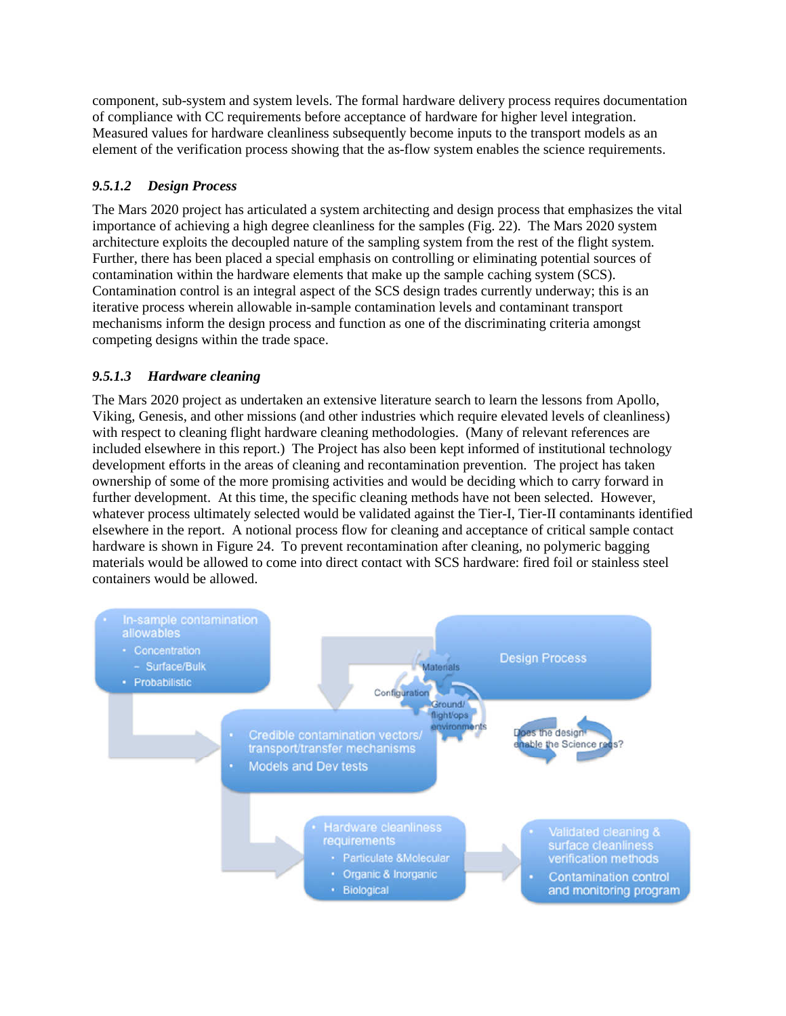component, sub-system and system levels. The formal hardware delivery process requires documentation of compliance with CC requirements before acceptance of hardware for higher level integration. Measured values for hardware cleanliness subsequently become inputs to the transport models as an element of the verification process showing that the as-flow system enables the science requirements.

## *9.5.1.2 Design Process*

The Mars 2020 project has articulated a system architecting and design process that emphasizes the vital importance of achieving a high degree cleanliness for the samples (Fig. 22). The Mars 2020 system architecture exploits the decoupled nature of the sampling system from the rest of the flight system. Further, there has been placed a special emphasis on controlling or eliminating potential sources of contamination within the hardware elements that make up the sample caching system (SCS). Contamination control is an integral aspect of the SCS design trades currently underway; this is an iterative process wherein allowable in-sample contamination levels and contaminant transport mechanisms inform the design process and function as one of the discriminating criteria amongst competing designs within the trade space.

## *9.5.1.3 Hardware cleaning*

The Mars 2020 project as undertaken an extensive literature search to learn the lessons from Apollo, Viking, Genesis, and other missions (and other industries which require elevated levels of cleanliness) with respect to cleaning flight hardware cleaning methodologies. (Many of relevant references are included elsewhere in this report.) The Project has also been kept informed of institutional technology development efforts in the areas of cleaning and recontamination prevention. The project has taken ownership of some of the more promising activities and would be deciding which to carry forward in further development. At this time, the specific cleaning methods have not been selected. However, whatever process ultimately selected would be validated against the Tier-I, Tier-II contaminants identified elsewhere in the report. A notional process flow for cleaning and acceptance of critical sample contact hardware is shown in Figure 24. To prevent recontamination after cleaning, no polymeric bagging materials would be allowed to come into direct contact with SCS hardware: fired foil or stainless steel containers would be allowed.

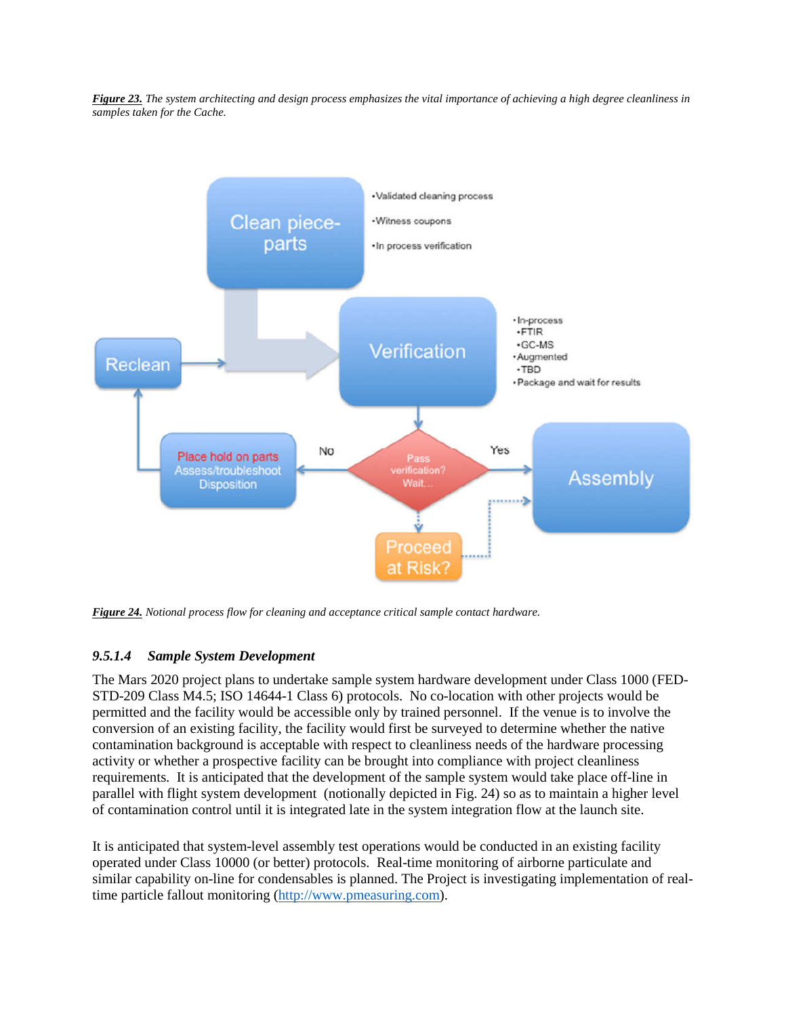*Figure 23. The system architecting and design process emphasizes the vital importance of achieving a high degree cleanliness in samples taken for the Cache.* 



*Figure 24. Notional process flow for cleaning and acceptance critical sample contact hardware.* 

## *9.5.1.4 Sample System Development*

The Mars 2020 project plans to undertake sample system hardware development under Class 1000 (FED-STD-209 Class M4.5; ISO 14644-1 Class 6) protocols. No co-location with other projects would be permitted and the facility would be accessible only by trained personnel. If the venue is to involve the conversion of an existing facility, the facility would first be surveyed to determine whether the native contamination background is acceptable with respect to cleanliness needs of the hardware processing activity or whether a prospective facility can be brought into compliance with project cleanliness requirements. It is anticipated that the development of the sample system would take place off-line in parallel with flight system development (notionally depicted in Fig. 24) so as to maintain a higher level of contamination control until it is integrated late in the system integration flow at the launch site.

It is anticipated that system-level assembly test operations would be conducted in an existing facility operated under Class 10000 (or better) protocols. Real-time monitoring of airborne particulate and similar capability on-line for condensables is planned. The Project is investigating implementation of realtime particle fallout monitoring ([http://www.pmeasuring.com\)](http://www.pmeasuring.com).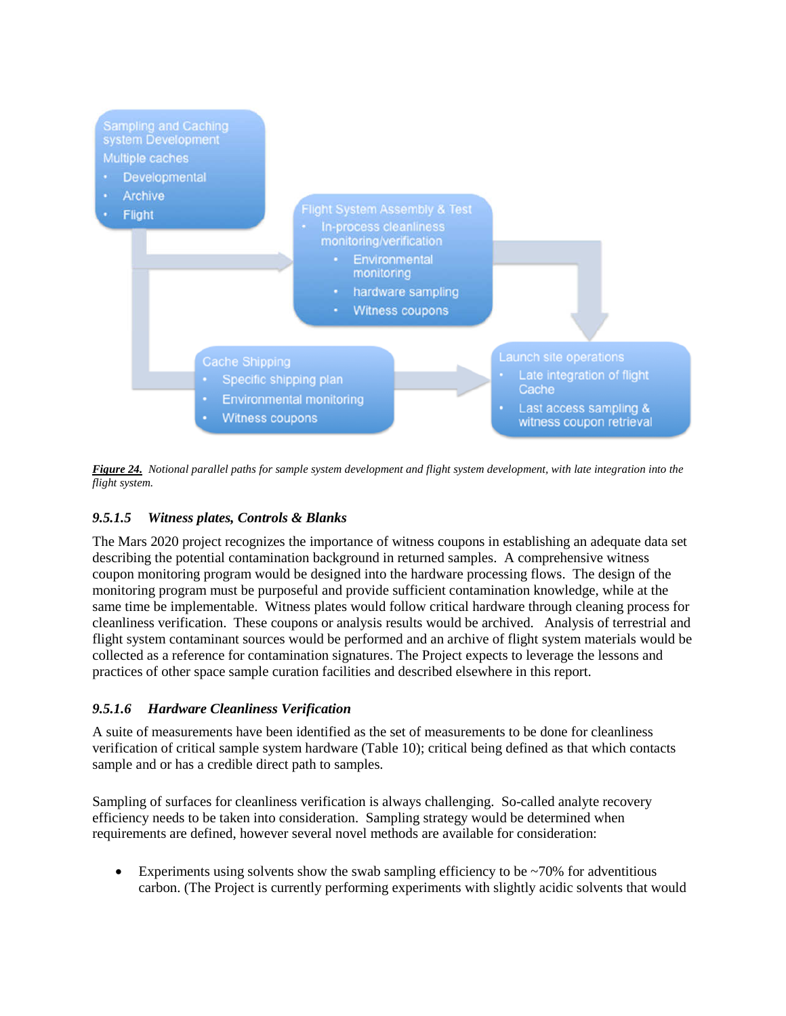

*Figure 24. Notional parallel paths for sample system development and flight system development, with late integration into the flight system.* 

## *9.5.1.5 Witness plates, Controls & Blanks*

The Mars 2020 project recognizes the importance of witness coupons in establishing an adequate data set describing the potential contamination background in returned samples. A comprehensive witness coupon monitoring program would be designed into the hardware processing flows. The design of the monitoring program must be purposeful and provide sufficient contamination knowledge, while at the same time be implementable. Witness plates would follow critical hardware through cleaning process for cleanliness verification. These coupons or analysis results would be archived. Analysis of terrestrial and flight system contaminant sources would be performed and an archive of flight system materials would be collected as a reference for contamination signatures. The Project expects to leverage the lessons and practices of other space sample curation facilities and described elsewhere in this report.

## *9.5.1.6 Hardware Cleanliness Verification*

A suite of measurements have been identified as the set of measurements to be done for cleanliness verification of critical sample system hardware (Table 10); critical being defined as that which contacts sample and or has a credible direct path to samples.

Sampling of surfaces for cleanliness verification is always challenging. So-called analyte recovery efficiency needs to be taken into consideration. Sampling strategy would be determined when requirements are defined, however several novel methods are available for consideration:

Experiments using solvents show the swab sampling efficiency to be  $\sim$ 70% for adventitious carbon. (The Project is currently performing experiments with slightly acidic solvents that would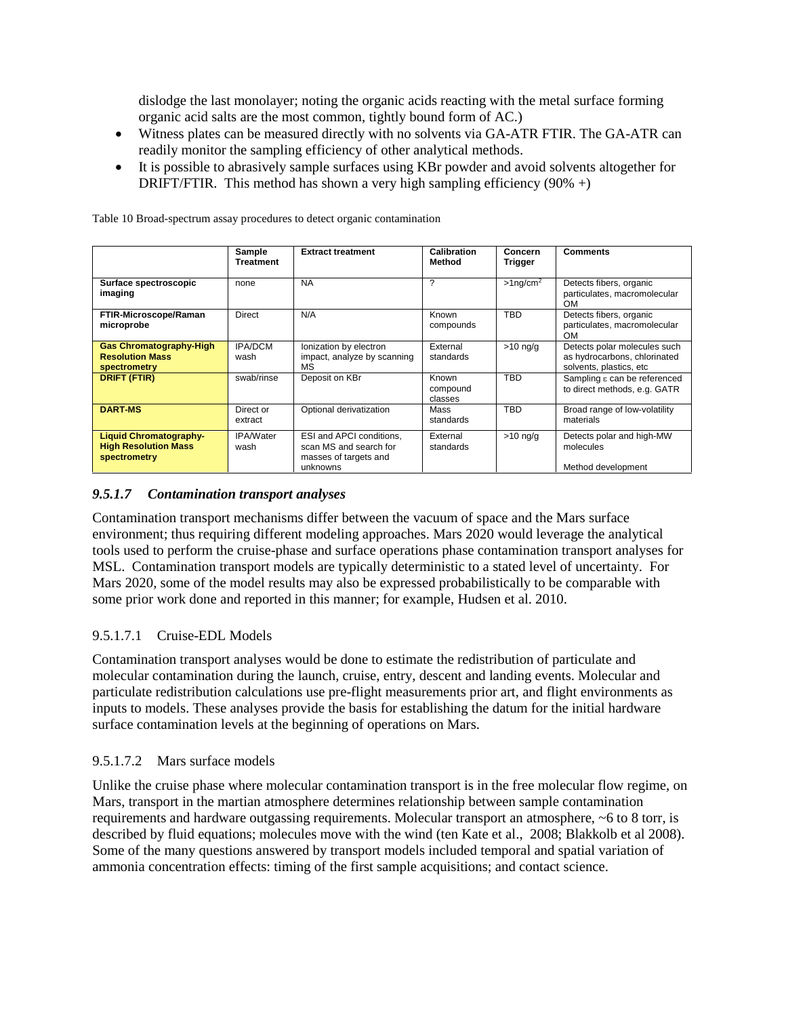dislodge the last monolayer; noting the organic acids reacting with the metal surface forming organic acid salts are the most common, tightly bound form of AC.)

- Witness plates can be measured directly with no solvents via GA-ATR FTIR. The GA-ATR can readily monitor the sampling efficiency of other analytical methods.
- It is possible to abrasively sample surfaces using KBr powder and avoid solvents altogether for DRIFT/FTIR. This method has shown a very high sampling efficiency  $(90\% +)$

|                                                                              | Sample<br><b>Treatment</b> | <b>Extract treatment</b>                                                                | Calibration<br>Method        | Concern<br>Trigger      | <b>Comments</b>                                                                         |
|------------------------------------------------------------------------------|----------------------------|-----------------------------------------------------------------------------------------|------------------------------|-------------------------|-----------------------------------------------------------------------------------------|
| Surface spectroscopic<br>imaging                                             | none                       | <b>NA</b>                                                                               | ?                            | $>1$ ng/cm <sup>2</sup> | Detects fibers, organic<br>particulates, macromolecular<br><b>OM</b>                    |
| FTIR-Microscope/Raman<br>microprobe                                          | Direct                     | N/A                                                                                     | Known<br>compounds           | <b>TBD</b>              | Detects fibers, organic<br>particulates, macromolecular<br><b>OM</b>                    |
| <b>Gas Chromatography-High</b><br><b>Resolution Mass</b><br>spectrometry     | <b>IPA/DCM</b><br>wash     | Ionization by electron<br>impact, analyze by scanning<br>MS                             | External<br>standards        | $>10$ ng/g              | Detects polar molecules such<br>as hydrocarbons, chlorinated<br>solvents, plastics, etc |
| <b>DRIFT (FTIR)</b>                                                          | swab/rinse                 | Deposit on KBr                                                                          | Known<br>compound<br>classes | <b>TBD</b>              | Sampling $\varepsilon$ can be referenced<br>to direct methods, e.g. GATR                |
| <b>DART-MS</b>                                                               | Direct or<br>extract       | Optional derivatization                                                                 | Mass<br>standards            | <b>TBD</b>              | Broad range of low-volatility<br>materials                                              |
| <b>Liquid Chromatography-</b><br><b>High Resolution Mass</b><br>spectrometry | <b>IPA/Water</b><br>wash   | ESI and APCI conditions,<br>scan MS and search for<br>masses of targets and<br>unknowns | External<br>standards        | $>10$ ng/g              | Detects polar and high-MW<br>molecules<br>Method development                            |

Table 10 Broad-spectrum assay procedures to detect organic contamination

## *9.5.1.7 Contamination transport analyses*

Contamination transport mechanisms differ between the vacuum of space and the Mars surface environment; thus requiring different modeling approaches. Mars 2020 would leverage the analytical tools used to perform the cruise-phase and surface operations phase contamination transport analyses for MSL. Contamination transport models are typically deterministic to a stated level of uncertainty. For Mars 2020, some of the model results may also be expressed probabilistically to be comparable with some prior work done and reported in this manner; for example, Hudsen et al. 2010.

### 9.5.1.7.1 Cruise-EDL Models

Contamination transport analyses would be done to estimate the redistribution of particulate and molecular contamination during the launch, cruise, entry, descent and landing events. Molecular and particulate redistribution calculations use pre-flight measurements prior art, and flight environments as inputs to models. These analyses provide the basis for establishing the datum for the initial hardware surface contamination levels at the beginning of operations on Mars.

### 9.5.1.7.2 Mars surface models

Unlike the cruise phase where molecular contamination transport is in the free molecular flow regime, on Mars, transport in the martian atmosphere determines relationship between sample contamination requirements and hardware outgassing requirements. Molecular transport an atmosphere, ~6 to 8 torr, is described by fluid equations; molecules move with the wind (ten Kate et al., 2008; Blakkolb et al 2008). Some of the many questions answered by transport models included temporal and spatial variation of ammonia concentration effects: timing of the first sample acquisitions; and contact science.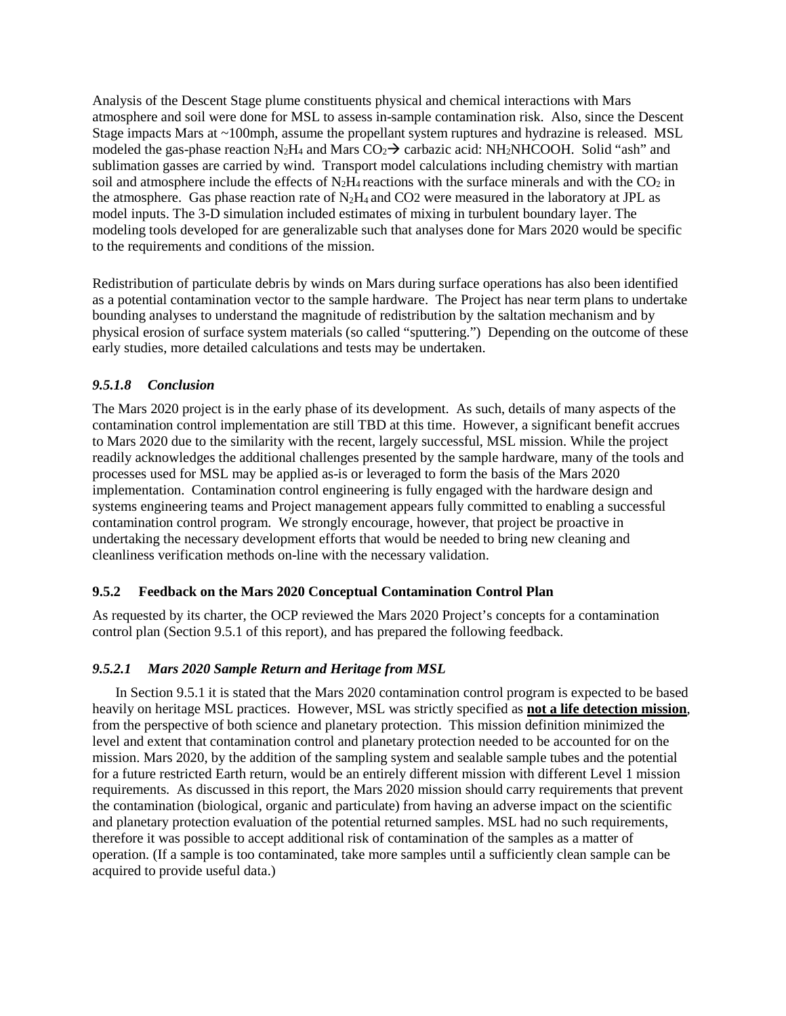Analysis of the Descent Stage plume constituents physical and chemical interactions with Mars atmosphere and soil were done for MSL to assess in-sample contamination risk. Also, since the Descent Stage impacts Mars at ~100mph, assume the propellant system ruptures and hydrazine is released. MSL modeled the gas-phase reaction  $N_2H_4$  and Mars  $CO_2 \rightarrow$  carbazic acid: NH<sub>2</sub>NHCOOH. Solid "ash" and sublimation gasses are carried by wind. Transport model calculations including chemistry with martian soil and atmosphere include the effects of  $N_2H_4$  reactions with the surface minerals and with the  $CO_2$  in the atmosphere. Gas phase reaction rate of  $N_2H_4$  and CO2 were measured in the laboratory at JPL as model inputs. The 3-D simulation included estimates of mixing in turbulent boundary layer. The modeling tools developed for are generalizable such that analyses done for Mars 2020 would be specific to the requirements and conditions of the mission.

Redistribution of particulate debris by winds on Mars during surface operations has also been identified as a potential contamination vector to the sample hardware. The Project has near term plans to undertake bounding analyses to understand the magnitude of redistribution by the saltation mechanism and by physical erosion of surface system materials (so called "sputtering.") Depending on the outcome of these early studies, more detailed calculations and tests may be undertaken.

### *9.5.1.8 Conclusion*

The Mars 2020 project is in the early phase of its development. As such, details of many aspects of the contamination control implementation are still TBD at this time. However, a significant benefit accrues to Mars 2020 due to the similarity with the recent, largely successful, MSL mission. While the project readily acknowledges the additional challenges presented by the sample hardware, many of the tools and processes used for MSL may be applied as-is or leveraged to form the basis of the Mars 2020 implementation. Contamination control engineering is fully engaged with the hardware design and systems engineering teams and Project management appears fully committed to enabling a successful contamination control program. We strongly encourage, however, that project be proactive in undertaking the necessary development efforts that would be needed to bring new cleaning and cleanliness verification methods on-line with the necessary validation.

### **9.5.2 Feedback on the Mars 2020 Conceptual Contamination Control Plan**

As requested by its charter, the OCP reviewed the Mars 2020 Project's concepts for a contamination control plan (Section 9.5.1 of this report), and has prepared the following feedback.

### *9.5.2.1 Mars 2020 Sample Return and Heritage from MSL*

In Section 9.5.1 it is stated that the Mars 2020 contamination control program is expected to be based heavily on heritage MSL practices. However, MSL was strictly specified as **not a life detection mission**, from the perspective of both science and planetary protection. This mission definition minimized the level and extent that contamination control and planetary protection needed to be accounted for on the mission. Mars 2020, by the addition of the sampling system and sealable sample tubes and the potential for a future restricted Earth return, would be an entirely different mission with different Level 1 mission requirements. As discussed in this report, the Mars 2020 mission should carry requirements that prevent the contamination (biological, organic and particulate) from having an adverse impact on the scientific and planetary protection evaluation of the potential returned samples. MSL had no such requirements, therefore it was possible to accept additional risk of contamination of the samples as a matter of operation. (If a sample is too contaminated, take more samples until a sufficiently clean sample can be acquired to provide useful data.)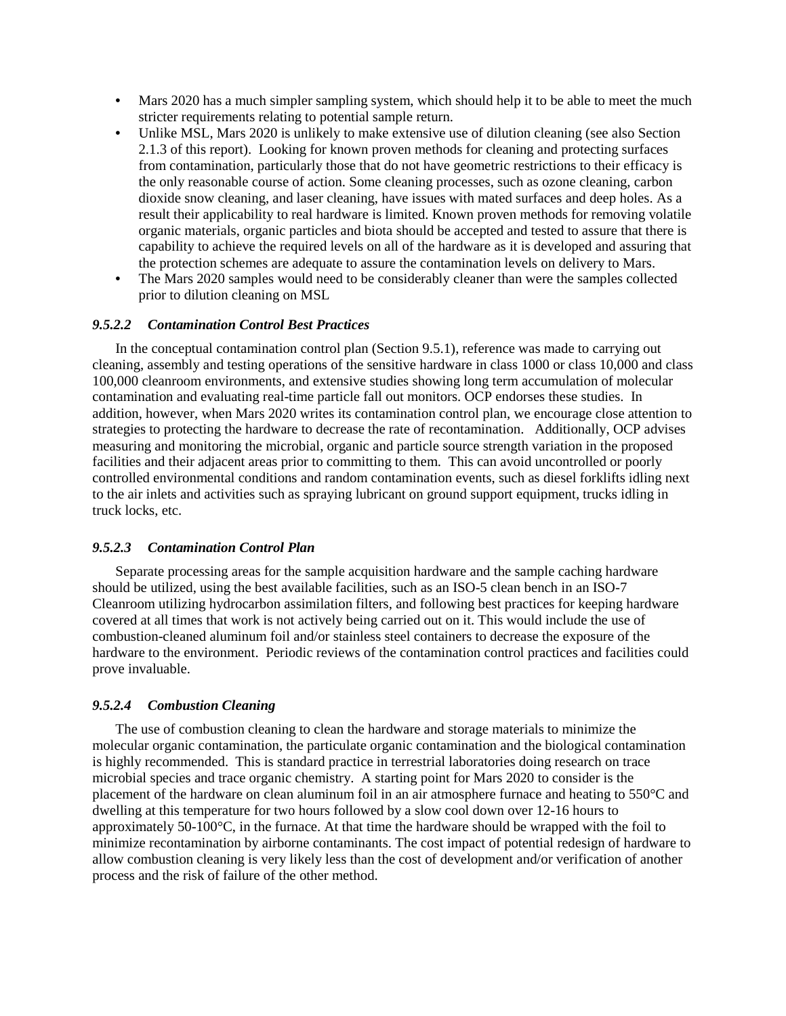- Mars 2020 has a much simpler sampling system, which should help it to be able to meet the much stricter requirements relating to potential sample return.
- Unlike MSL, Mars 2020 is unlikely to make extensive use of dilution cleaning (see also Section 2.1.3 of this report). Looking for known proven methods for cleaning and protecting surfaces from contamination, particularly those that do not have geometric restrictions to their efficacy is the only reasonable course of action. Some cleaning processes, such as ozone cleaning, carbon dioxide snow cleaning, and laser cleaning, have issues with mated surfaces and deep holes. As a result their applicability to real hardware is limited. Known proven methods for removing volatile organic materials, organic particles and biota should be accepted and tested to assure that there is capability to achieve the required levels on all of the hardware as it is developed and assuring that the protection schemes are adequate to assure the contamination levels on delivery to Mars.
- The Mars 2020 samples would need to be considerably cleaner than were the samples collected prior to dilution cleaning on MSL

### *9.5.2.2 Contamination Control Best Practices*

In the conceptual contamination control plan (Section 9.5.1), reference was made to carrying out cleaning, assembly and testing operations of the sensitive hardware in class 1000 or class 10,000 and class 100,000 cleanroom environments, and extensive studies showing long term accumulation of molecular contamination and evaluating real-time particle fall out monitors. OCP endorses these studies. In addition, however, when Mars 2020 writes its contamination control plan, we encourage close attention to strategies to protecting the hardware to decrease the rate of recontamination. Additionally, OCP advises measuring and monitoring the microbial, organic and particle source strength variation in the proposed facilities and their adjacent areas prior to committing to them. This can avoid uncontrolled or poorly controlled environmental conditions and random contamination events, such as diesel forklifts idling next to the air inlets and activities such as spraying lubricant on ground support equipment, trucks idling in truck locks, etc.

#### *9.5.2.3 Contamination Control Plan*

Separate processing areas for the sample acquisition hardware and the sample caching hardware should be utilized, using the best available facilities, such as an ISO-5 clean bench in an ISO-7 Cleanroom utilizing hydrocarbon assimilation filters, and following best practices for keeping hardware covered at all times that work is not actively being carried out on it. This would include the use of combustion-cleaned aluminum foil and/or stainless steel containers to decrease the exposure of the hardware to the environment. Periodic reviews of the contamination control practices and facilities could prove invaluable.

### *9.5.2.4 Combustion Cleaning*

The use of combustion cleaning to clean the hardware and storage materials to minimize the molecular organic contamination, the particulate organic contamination and the biological contamination is highly recommended. This is standard practice in terrestrial laboratories doing research on trace microbial species and trace organic chemistry. A starting point for Mars 2020 to consider is the placement of the hardware on clean aluminum foil in an air atmosphere furnace and heating to 550°C and dwelling at this temperature for two hours followed by a slow cool down over 12-16 hours to approximately 50-100°C, in the furnace. At that time the hardware should be wrapped with the foil to minimize recontamination by airborne contaminants. The cost impact of potential redesign of hardware to allow combustion cleaning is very likely less than the cost of development and/or verification of another process and the risk of failure of the other method.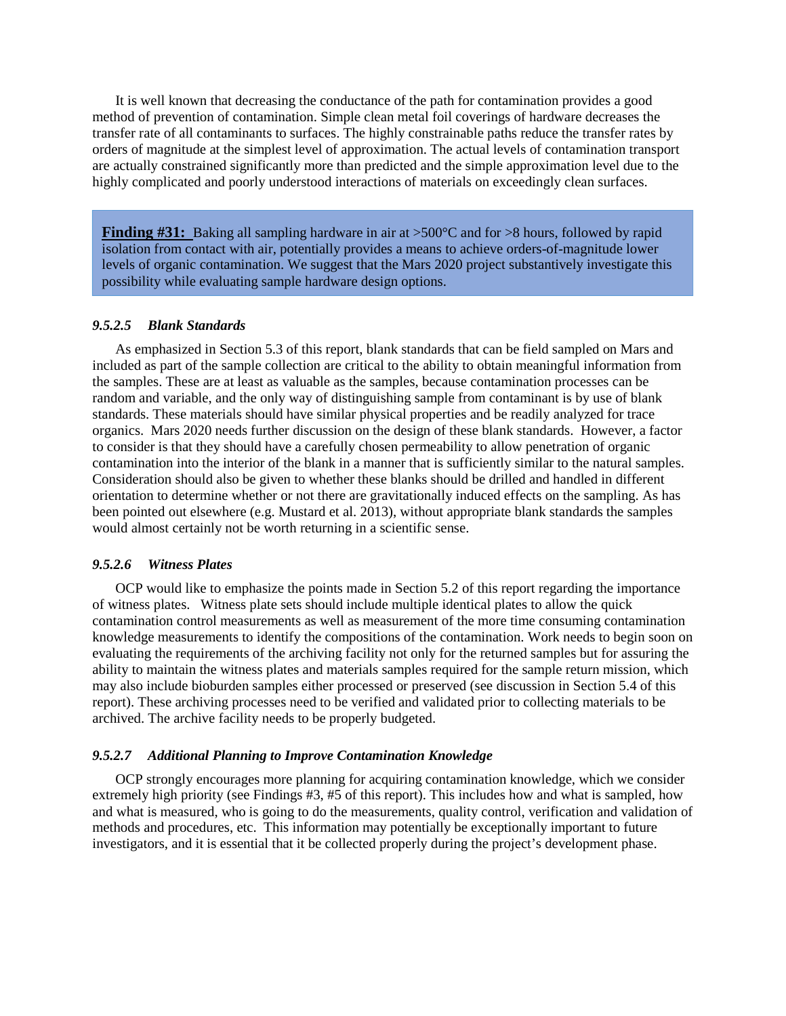It is well known that decreasing the conductance of the path for contamination provides a good method of prevention of contamination. Simple clean metal foil coverings of hardware decreases the transfer rate of all contaminants to surfaces. The highly constrainable paths reduce the transfer rates by orders of magnitude at the simplest level of approximation. The actual levels of contamination transport are actually constrained significantly more than predicted and the simple approximation level due to the highly complicated and poorly understood interactions of materials on exceedingly clean surfaces.

**Finding #31:** Baking all sampling hardware in air at >500°C and for >8 hours, followed by rapid isolation from contact with air, potentially provides a means to achieve orders-of-magnitude lower levels of organic contamination. We suggest that the Mars 2020 project substantively investigate this possibility while evaluating sample hardware design options.

### *9.5.2.5 Blank Standards*

As emphasized in Section 5.3 of this report, blank standards that can be field sampled on Mars and included as part of the sample collection are critical to the ability to obtain meaningful information from the samples. These are at least as valuable as the samples, because contamination processes can be random and variable, and the only way of distinguishing sample from contaminant is by use of blank standards. These materials should have similar physical properties and be readily analyzed for trace organics. Mars 2020 needs further discussion on the design of these blank standards. However, a factor to consider is that they should have a carefully chosen permeability to allow penetration of organic contamination into the interior of the blank in a manner that is sufficiently similar to the natural samples. Consideration should also be given to whether these blanks should be drilled and handled in different orientation to determine whether or not there are gravitationally induced effects on the sampling. As has been pointed out elsewhere (e.g. Mustard et al. 2013), without appropriate blank standards the samples would almost certainly not be worth returning in a scientific sense.

#### *9.5.2.6 Witness Plates*

OCP would like to emphasize the points made in Section 5.2 of this report regarding the importance of witness plates. Witness plate sets should include multiple identical plates to allow the quick contamination control measurements as well as measurement of the more time consuming contamination knowledge measurements to identify the compositions of the contamination. Work needs to begin soon on evaluating the requirements of the archiving facility not only for the returned samples but for assuring the ability to maintain the witness plates and materials samples required for the sample return mission, which may also include bioburden samples either processed or preserved (see discussion in Section 5.4 of this report). These archiving processes need to be verified and validated prior to collecting materials to be archived. The archive facility needs to be properly budgeted.

#### *9.5.2.7 Additional Planning to Improve Contamination Knowledge*

OCP strongly encourages more planning for acquiring contamination knowledge, which we consider extremely high priority (see Findings #3, #5 of this report). This includes how and what is sampled, how and what is measured, who is going to do the measurements, quality control, verification and validation of methods and procedures, etc. This information may potentially be exceptionally important to future investigators, and it is essential that it be collected properly during the project's development phase.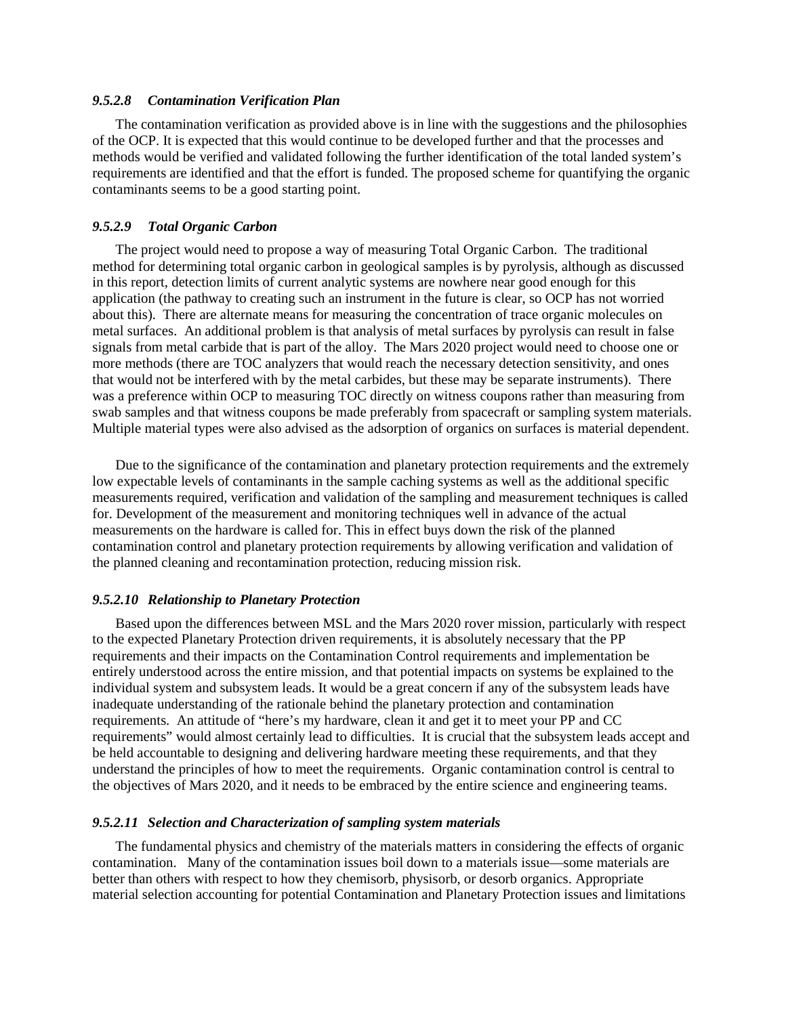#### *9.5.2.8 Contamination Verification Plan*

The contamination verification as provided above is in line with the suggestions and the philosophies of the OCP. It is expected that this would continue to be developed further and that the processes and methods would be verified and validated following the further identification of the total landed system's requirements are identified and that the effort is funded. The proposed scheme for quantifying the organic contaminants seems to be a good starting point.

### *9.5.2.9 Total Organic Carbon*

The project would need to propose a way of measuring Total Organic Carbon. The traditional method for determining total organic carbon in geological samples is by pyrolysis, although as discussed in this report, detection limits of current analytic systems are nowhere near good enough for this application (the pathway to creating such an instrument in the future is clear, so OCP has not worried about this). There are alternate means for measuring the concentration of trace organic molecules on metal surfaces. An additional problem is that analysis of metal surfaces by pyrolysis can result in false signals from metal carbide that is part of the alloy. The Mars 2020 project would need to choose one or more methods (there are TOC analyzers that would reach the necessary detection sensitivity, and ones that would not be interfered with by the metal carbides, but these may be separate instruments). There was a preference within OCP to measuring TOC directly on witness coupons rather than measuring from swab samples and that witness coupons be made preferably from spacecraft or sampling system materials. Multiple material types were also advised as the adsorption of organics on surfaces is material dependent.

Due to the significance of the contamination and planetary protection requirements and the extremely low expectable levels of contaminants in the sample caching systems as well as the additional specific measurements required, verification and validation of the sampling and measurement techniques is called for. Development of the measurement and monitoring techniques well in advance of the actual measurements on the hardware is called for. This in effect buys down the risk of the planned contamination control and planetary protection requirements by allowing verification and validation of the planned cleaning and recontamination protection, reducing mission risk.

#### *9.5.2.10 Relationship to Planetary Protection*

Based upon the differences between MSL and the Mars 2020 rover mission, particularly with respect to the expected Planetary Protection driven requirements, it is absolutely necessary that the PP requirements and their impacts on the Contamination Control requirements and implementation be entirely understood across the entire mission, and that potential impacts on systems be explained to the individual system and subsystem leads. It would be a great concern if any of the subsystem leads have inadequate understanding of the rationale behind the planetary protection and contamination requirements. An attitude of "here's my hardware, clean it and get it to meet your PP and CC requirements" would almost certainly lead to difficulties. It is crucial that the subsystem leads accept and be held accountable to designing and delivering hardware meeting these requirements, and that they understand the principles of how to meet the requirements. Organic contamination control is central to the objectives of Mars 2020, and it needs to be embraced by the entire science and engineering teams.

#### *9.5.2.11 Selection and Characterization of sampling system materials*

The fundamental physics and chemistry of the materials matters in considering the effects of organic contamination. Many of the contamination issues boil down to a materials issue—some materials are better than others with respect to how they chemisorb, physisorb, or desorb organics. Appropriate material selection accounting for potential Contamination and Planetary Protection issues and limitations